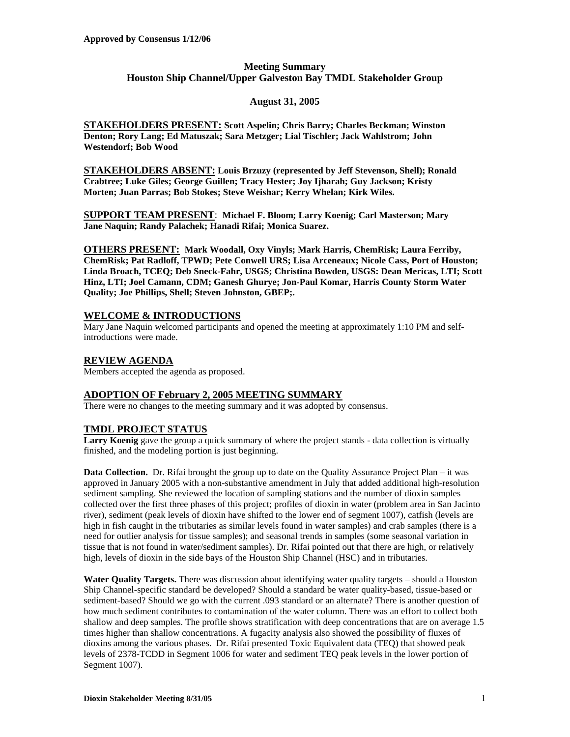## **Meeting Summary Houston Ship Channel/Upper Galveston Bay TMDL Stakeholder Group**

## **August 31, 2005**

**STAKEHOLDERS PRESENT: Scott Aspelin; Chris Barry; Charles Beckman; Winston Denton; Rory Lang; Ed Matuszak; Sara Metzger; Lial Tischler; Jack Wahlstrom; John Westendorf; Bob Wood**

**STAKEHOLDERS ABSENT: Louis Brzuzy (represented by Jeff Stevenson, Shell); Ronald Crabtree; Luke Giles; George Guillen; Tracy Hester; Joy Ijharah; Guy Jackson; Kristy Morten; Juan Parras; Bob Stokes; Steve Weishar; Kerry Whelan; Kirk Wiles.**

**SUPPORT TEAM PRESENT**: **Michael F. Bloom; Larry Koenig; Carl Masterson; Mary Jane Naquin; Randy Palachek; Hanadi Rifai; Monica Suarez.** 

**OTHERS PRESENT: Mark Woodall, Oxy Vinyls; Mark Harris, ChemRisk; Laura Ferriby, ChemRisk; Pat Radloff, TPWD; Pete Conwell URS; Lisa Arceneaux; Nicole Cass, Port of Houston; Linda Broach, TCEQ; Deb Sneck-Fahr, USGS; Christina Bowden, USGS: Dean Mericas, LTI; Scott Hinz, LTI; Joel Camann, CDM; Ganesh Ghurye; Jon-Paul Komar, Harris County Storm Water Quality; Joe Phillips, Shell; Steven Johnston, GBEP;.**

### **WELCOME & INTRODUCTIONS**

Mary Jane Naquin welcomed participants and opened the meeting at approximately 1:10 PM and selfintroductions were made.

# **REVIEW AGENDA**

Members accepted the agenda as proposed.

## **ADOPTION OF February 2, 2005 MEETING SUMMARY**

There were no changes to the meeting summary and it was adopted by consensus.

## **TMDL PROJECT STATUS**

**Larry Koenig** gave the group a quick summary of where the project stands - data collection is virtually finished, and the modeling portion is just beginning.

**Data Collection.** Dr. Rifai brought the group up to date on the Quality Assurance Project Plan – it was approved in January 2005 with a non-substantive amendment in July that added additional high-resolution sediment sampling. She reviewed the location of sampling stations and the number of dioxin samples collected over the first three phases of this project; profiles of dioxin in water (problem area in San Jacinto river), sediment (peak levels of dioxin have shifted to the lower end of segment 1007), catfish (levels are high in fish caught in the tributaries as similar levels found in water samples) and crab samples (there is a need for outlier analysis for tissue samples); and seasonal trends in samples (some seasonal variation in tissue that is not found in water/sediment samples). Dr. Rifai pointed out that there are high, or relatively high, levels of dioxin in the side bays of the Houston Ship Channel (HSC) and in tributaries.

**Water Quality Targets.** There was discussion about identifying water quality targets – should a Houston Ship Channel-specific standard be developed? Should a standard be water quality-based, tissue-based or sediment-based? Should we go with the current .093 standard or an alternate? There is another question of how much sediment contributes to contamination of the water column. There was an effort to collect both shallow and deep samples. The profile shows stratification with deep concentrations that are on average 1.5 times higher than shallow concentrations. A fugacity analysis also showed the possibility of fluxes of dioxins among the various phases. Dr. Rifai presented Toxic Equivalent data (TEQ) that showed peak levels of 2378-TCDD in Segment 1006 for water and sediment TEQ peak levels in the lower portion of Segment 1007).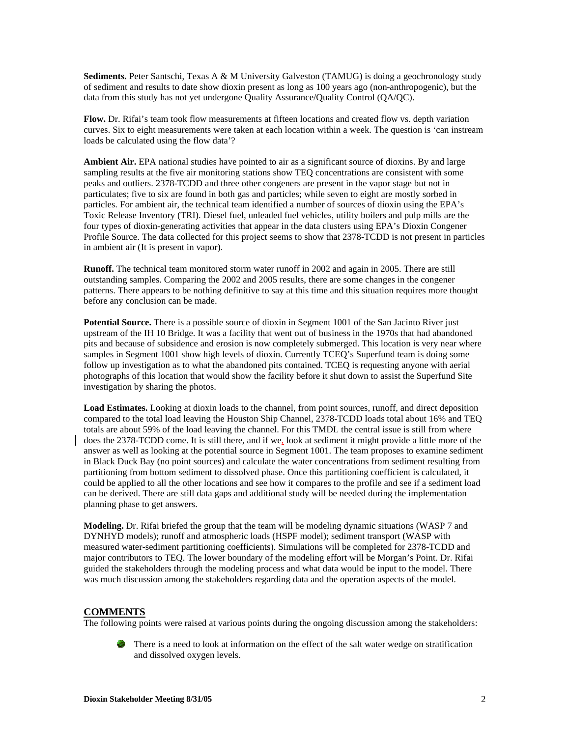**Sediments.** Peter Santschi, Texas A & M University Galveston (TAMUG) is doing a geochronology study of sediment and results to date show dioxin present as long as 100 years ago (non-anthropogenic), but the data from this study has not yet undergone Quality Assurance/Quality Control (QA/QC).

**Flow.** Dr. Rifai's team took flow measurements at fifteen locations and created flow vs. depth variation curves. Six to eight measurements were taken at each location within a week. The question is 'can instream loads be calculated using the flow data'?

**Ambient Air.** EPA national studies have pointed to air as a significant source of dioxins. By and large sampling results at the five air monitoring stations show TEQ concentrations are consistent with some peaks and outliers. 2378-TCDD and three other congeners are present in the vapor stage but not in particulates; five to six are found in both gas and particles; while seven to eight are mostly sorbed in particles. For ambient air, the technical team identified a number of sources of dioxin using the EPA's Toxic Release Inventory (TRI). Diesel fuel, unleaded fuel vehicles, utility boilers and pulp mills are the four types of dioxin-generating activities that appear in the data clusters using EPA's Dioxin Congener Profile Source. The data collected for this project seems to show that 2378-TCDD is not present in particles in ambient air (It is present in vapor).

**Runoff.** The technical team monitored storm water runoff in 2002 and again in 2005. There are still outstanding samples. Comparing the 2002 and 2005 results, there are some changes in the congener patterns. There appears to be nothing definitive to say at this time and this situation requires more thought before any conclusion can be made.

**Potential Source.** There is a possible source of dioxin in Segment 1001 of the San Jacinto River just upstream of the IH 10 Bridge. It was a facility that went out of business in the 1970s that had abandoned pits and because of subsidence and erosion is now completely submerged. This location is very near where samples in Segment 1001 show high levels of dioxin. Currently TCEQ's Superfund team is doing some follow up investigation as to what the abandoned pits contained. TCEQ is requesting anyone with aerial photographs of this location that would show the facility before it shut down to assist the Superfund Site investigation by sharing the photos.

**Load Estimates.** Looking at dioxin loads to the channel, from point sources, runoff, and direct deposition compared to the total load leaving the Houston Ship Channel, 2378-TCDD loads total about 16% and TEQ totals are about 59% of the load leaving the channel. For this TMDL the central issue is still from where does the 2378-TCDD come. It is still there, and if we, look at sediment it might provide a little more of the answer as well as looking at the potential source in Segment 1001. The team proposes to examine sediment in Black Duck Bay (no point sources) and calculate the water concentrations from sediment resulting from partitioning from bottom sediment to dissolved phase. Once this partitioning coefficient is calculated, it could be applied to all the other locations and see how it compares to the profile and see if a sediment load can be derived. There are still data gaps and additional study will be needed during the implementation planning phase to get answers.

**Modeling.** Dr. Rifai briefed the group that the team will be modeling dynamic situations (WASP 7 and DYNHYD models); runoff and atmospheric loads (HSPF model); sediment transport (WASP with measured water-sediment partitioning coefficients). Simulations will be completed for 2378-TCDD and major contributors to TEQ. The lower boundary of the modeling effort will be Morgan's Point. Dr. Rifai guided the stakeholders through the modeling process and what data would be input to the model. There was much discussion among the stakeholders regarding data and the operation aspects of the model.

#### **COMMENTS**

The following points were raised at various points during the ongoing discussion among the stakeholders:

**Alta** There is a need to look at information on the effect of the salt water wedge on stratification and dissolved oxygen levels.